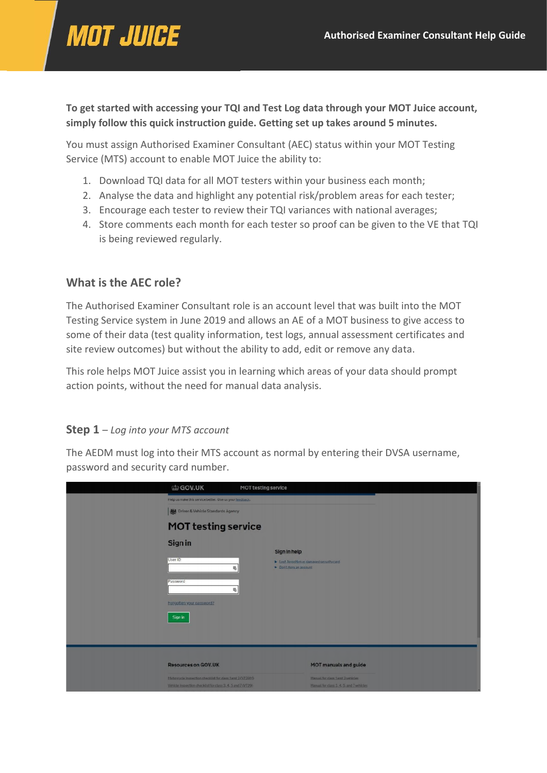# **MOT JUICE**

**To get started with accessing your TQI and Test Log data through your MOT Juice account, simply follow this quick instruction guide. Getting set up takes around 5 minutes.**

You must assign Authorised Examiner Consultant (AEC) status within your MOT Testing Service (MTS) account to enable MOT Juice the ability to:

- 1. Download TQI data for all MOT testers within your business each month;
- 2. Analyse the data and highlight any potential risk/problem areas for each tester;
- 3. Encourage each tester to review their TQI variances with national averages;
- 4. Store comments each month for each tester so proof can be given to the VE that TQI is being reviewed regularly.

#### **What is the AEC role?**

The Authorised Examiner Consultant role is an account level that was built into the MOT Testing Service system in June 2019 and allows an AE of a MOT business to give access to some of their data (test quality information, test logs, annual assessment certificates and site review outcomes) but without the ability to add, edit or remove any data.

This role helps MOT Juice assist you in learning which areas of your data should prompt action points, without the need for manual data analysis.

#### **Step 1** – *Log into your MTS account*

The AEDM must log into their MTS account as normal by entering their DVSA username, password and security card number.

| 的 GOV.UK                                                                                                               | MOT testing service     |                                                                             |  |
|------------------------------------------------------------------------------------------------------------------------|-------------------------|-----------------------------------------------------------------------------|--|
| Help us make this service better. Give us your feedback.                                                               |                         |                                                                             |  |
| <b>Not</b> Driver & Vehicle Standards Agency                                                                           |                         |                                                                             |  |
| <b>MOT testing service</b>                                                                                             |                         |                                                                             |  |
| Sign in                                                                                                                | Sign in help            |                                                                             |  |
| User ID<br>唱                                                                                                           | > Don't have an account | > Lost, Jorgotten or damaged security card                                  |  |
| Password<br>亳                                                                                                          |                         |                                                                             |  |
| Forgotten your password?                                                                                               |                         |                                                                             |  |
| Sign in                                                                                                                |                         |                                                                             |  |
|                                                                                                                        |                         |                                                                             |  |
|                                                                                                                        |                         |                                                                             |  |
| <b>Resources on GOV.UK</b>                                                                                             |                         | <b>MOT manuals and guide</b>                                                |  |
| Motorcycle Inspection checklist for class 1 and 2 (VT29M)<br>Vehicle Inspection checklist for class 3.4.5 and 7 (VT29) |                         | Manual for class 1 and 2 vehicles<br>Manual for class 3.4.5, and 7 vehicles |  |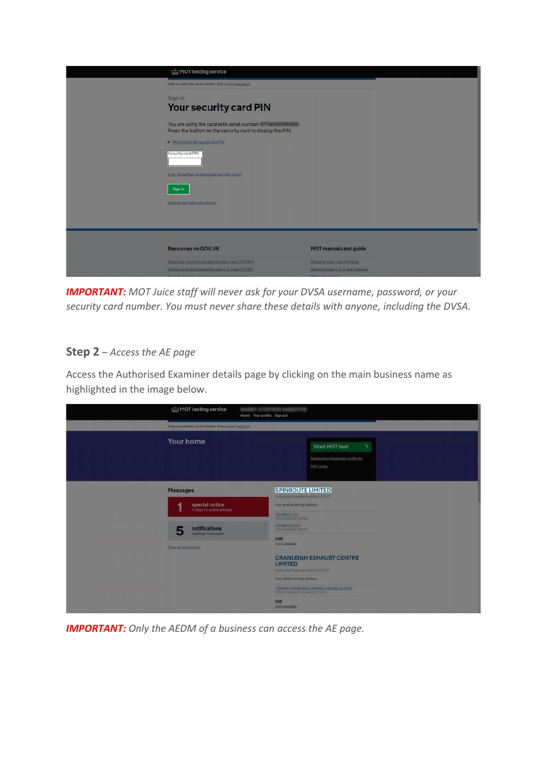| cip MOT testing service                                                                                                 |                                                                             |
|-------------------------------------------------------------------------------------------------------------------------|-----------------------------------------------------------------------------|
| Help us make this service better. Give us your leadback.                                                                |                                                                             |
| Sign in<br>Your security card PIN                                                                                       |                                                                             |
| You are using the card with serial number in the month and<br>Press the button on the security card to display the PIN. |                                                                             |
| > Where to fled the security card PHV                                                                                   |                                                                             |
| Security card PIN                                                                                                       |                                                                             |
| Lost. forgotten or damaged security pard?                                                                               |                                                                             |
| Sign in                                                                                                                 |                                                                             |
| Cancel and return to sign in                                                                                            |                                                                             |
|                                                                                                                         |                                                                             |
|                                                                                                                         |                                                                             |
| <b>Resources on GOV.UK</b>                                                                                              | <b>MOT manuals and guide</b>                                                |
| Motorcycle Inspection checklist for class 1 and 2 (VT29M)<br>Vehicle Inspection checklist for claim 3.4.5 and 7 (V129)  | Manual for class 1 and 2 vehicles<br>Hamuel for class 3.4.5, and 7 vehicles |

*IMPORTANT: MOT Juice staff will never ask for your DVSA username, password, or your security card number. You must never share these details with anyone, including the DVSA.*

## **Step 2** – *Access the AE page*

Access the Authorised Examiner details page by clicking on the main business name as highlighted in the image below.

| ch MOT testing service                                  | Home Yourprofile Signout                                                                                                                                             |
|---------------------------------------------------------|----------------------------------------------------------------------------------------------------------------------------------------------------------------------|
| Help us make this senior better. Give us your feedback. |                                                                                                                                                                      |
| Your home                                               | <b>Start MOT test</b><br>$\overline{ }$<br>Replacement/duplicate certificate<br>MOT forms                                                                            |
| Messages                                                | <b>SPINROUTE LIMITED</b><br>Authorized Commerciandum: 1982                                                                                                           |
| special notice<br>1<br>3 days to acknowledge            | Your vehicle testing stations<br>M3D (DRIVER)<br>SITE PRANAGER, TESTER                                                                                               |
| notifications<br>5<br>waiting to be read                | <b><i><u>INDUSTRICOTT</u></i></b><br>SATURDANAGER TESTER                                                                                                             |
| View all messages                                       | 335<br>stots available                                                                                                                                               |
|                                                         | <b>CRANLEIGH EXHAUST CENTRE</b><br><b>LIMITED</b><br>Authorized Examiner mampers imme-<br>Your vehicle testing stations<br>(1360AV) CRANLEIGH EXHAUST CENTRE LIMITED |
|                                                         | SITE ADMIN. SITE MANAGER, TESTER<br>501<br>siots available                                                                                                           |

*IMPORTANT: Only the AEDM of a business can access the AE page.*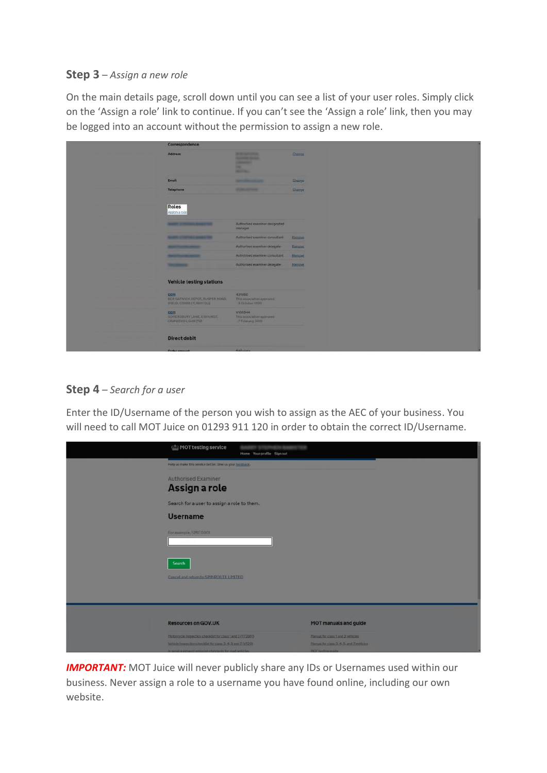#### **Step 3** – *Assign a new role*

On the main details page, scroll down until you can see a list of your user roles. Simply click on the 'Assign a role' link to continue. If you can't see the 'Assign a role' link, then you may be logged into an account without the permission to assign a new role.

| Correspondence                                                              |                                                                                                   |                |
|-----------------------------------------------------------------------------|---------------------------------------------------------------------------------------------------|----------------|
| Address                                                                     | <b>Milledge Council</b> y<br><b>WARRANTS SERVICE</b><br><b>STATISTICS</b><br>w.<br><b>MARINEZ</b> | Change         |
| Email                                                                       | <b>Secretary Contractor</b>                                                                       | <b>Change</b>  |
| Telephone                                                                   | <b><i>START STARTS</i></b>                                                                        | <b>Shange</b>  |
| Roles<br>Assion a role                                                      |                                                                                                   |                |
|                                                                             | Authorised examiner designated<br>manager.                                                        |                |
|                                                                             | Authorized exeminer consultant                                                                    | Recogni        |
| <b><i><u>START COMPANY</u></i></b>                                          | Authorised exeminer delegate                                                                      | Harricutt      |
|                                                                             | Authorised examiner consultant                                                                    | <b>Brender</b> |
| <b><i><u>STARTING COMPANY</u></i></b>                                       | Authorised examiner delegate                                                                      | <b>Remove</b>  |
| <b>Vehicle testing stations</b>                                             |                                                                                                   |                |
| CCM<br>BOR GATWICK DEPOT, IN/SPER ROAD,<br><b>UFBLID, CRAWLEY, RHITLOLD</b> | 421980<br>This association approved<br>- Il October 1999                                          |                |
| CCM<br>SOMERSBURY LANE, EWHORST,<br>CRANEEDON, QUIS 750                     | V106844<br>This association approved<br>7 February 2010                                           |                |
| <b>Direct debit</b>                                                         |                                                                                                   |                |
| Order amount                                                                | <b>KOO mints</b>                                                                                  |                |

## **Step 4** – *Search for a user*

Enter the ID/Username of the person you wish to assign as the AEC of your business. You will need to call MOT Juice on 01293 911 120 in order to obtain the correct ID/Username.

| MOT testing service                                                                                                    | Home Your profile Sign out |                                                                               |
|------------------------------------------------------------------------------------------------------------------------|----------------------------|-------------------------------------------------------------------------------|
| Help us make this service better. Give us your feedback.                                                               |                            |                                                                               |
| <b>Authorised Examiner</b><br>Assign a role                                                                            |                            |                                                                               |
| Search for a user to assign a role to them.                                                                            |                            |                                                                               |
| <b>Username</b>                                                                                                        |                            |                                                                               |
| For example, SMIT0001                                                                                                  |                            |                                                                               |
| Search                                                                                                                 |                            |                                                                               |
| Cancel and return to SPINROUTE LIMITED                                                                                 |                            |                                                                               |
|                                                                                                                        |                            |                                                                               |
|                                                                                                                        |                            |                                                                               |
| <b>Resources on GOV.UK</b>                                                                                             |                            | MOT manuals and guide                                                         |
| Motorcycle inspection checklist for class 1 and 2 (VT29M)<br>Vehicle Inspection checklist for class 3.4.5 and 7 (VT29) |                            | Manual for class 1 and 2 vehicles<br>Manual for class 3, 4, 5, and 7 vehicles |
| In service exhaust emission standards for road vehicles                                                                |                            | MOT testing guide                                                             |

**IMPORTANT:** MOT Juice will never publicly share any IDs or Usernames used within our business. Never assign a role to a username you have found online, including our own website.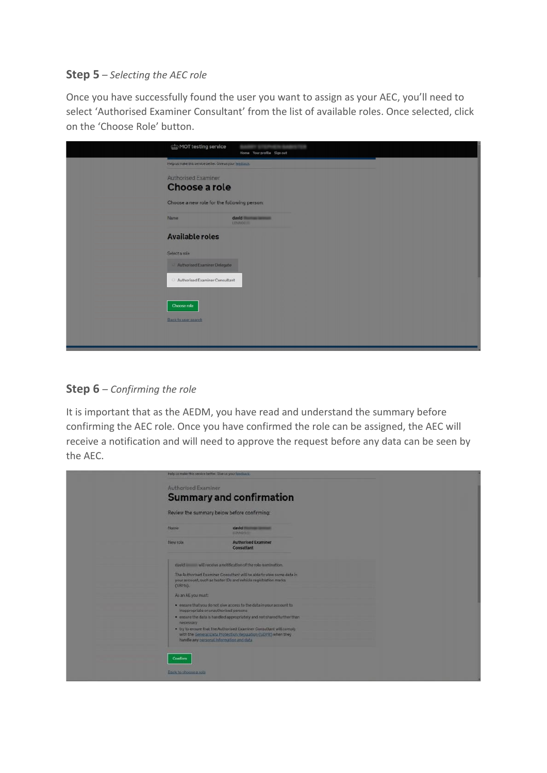#### **Step 5** – *Selecting the AEC role*

Once you have successfully found the user you want to assign as your AEC, you'll need to select 'Authorised Examiner Consultant' from the list of available roles. Once selected, click on the 'Choose Role' button.

| (b) MOT testing service                                  | Home Your profile Sign out           |
|----------------------------------------------------------|--------------------------------------|
| Help us make this service better. Give us your feedback. |                                      |
| <b>Authorised Examiner</b>                               |                                      |
| Choose a role                                            |                                      |
| Choose a new role for the following person:              |                                      |
| Name                                                     | david <b>Communication</b><br>LENNOO |
| <b>Available roles</b>                                   |                                      |
| Select a role                                            |                                      |
| Authorised Examiner Delegate                             |                                      |
| Authorised Examiner Consultant                           |                                      |
| <b>Choose role</b>                                       |                                      |
| <b>Back to user search</b>                               |                                      |
|                                                          |                                      |
|                                                          |                                      |

## **Step 6** – *Confirming the role*

It is important that as the AEDM, you have read and understand the summary before confirming the AEC role. Once you have confirmed the role can be assigned, the AEC will receive a notification and will need to approve the request before any data can be seen by the AEC.

| Help us make this service better. Give us your feedback. |                                                                                                                                          |  |  |
|----------------------------------------------------------|------------------------------------------------------------------------------------------------------------------------------------------|--|--|
| <b>Authorised Examiner</b>                               |                                                                                                                                          |  |  |
|                                                          | <b>Summary and confirmation</b>                                                                                                          |  |  |
| Review the summary below before confirming:              |                                                                                                                                          |  |  |
| <b>Name</b>                                              | david <b>Communication</b><br><b>JIMMODIE</b>                                                                                            |  |  |
| New rote                                                 | <b>Authorised Examiner</b><br>Consultant                                                                                                 |  |  |
|                                                          | david will receive a notification of the role nomination.                                                                                |  |  |
| (VRMs).                                                  | The Authorised Examiner Consultant will be able to view some data in<br>your account, such as tester IDs and vehicle registration marks. |  |  |
| As an AE you must:                                       |                                                                                                                                          |  |  |
| inappropriate or unauthorised persons.                   | . ensure that you do not give access to the data in your account to                                                                      |  |  |
| necessary                                                | . ensure the data is handled appropriately and not shared further than                                                                   |  |  |
| handle any personal information and data                 | . try to ensure that the Authorised Examiner Consultant will comply<br>with the General Data Protection Regulation (GDPR) when they      |  |  |
| Confirm                                                  |                                                                                                                                          |  |  |
| Back to choose a role                                    |                                                                                                                                          |  |  |